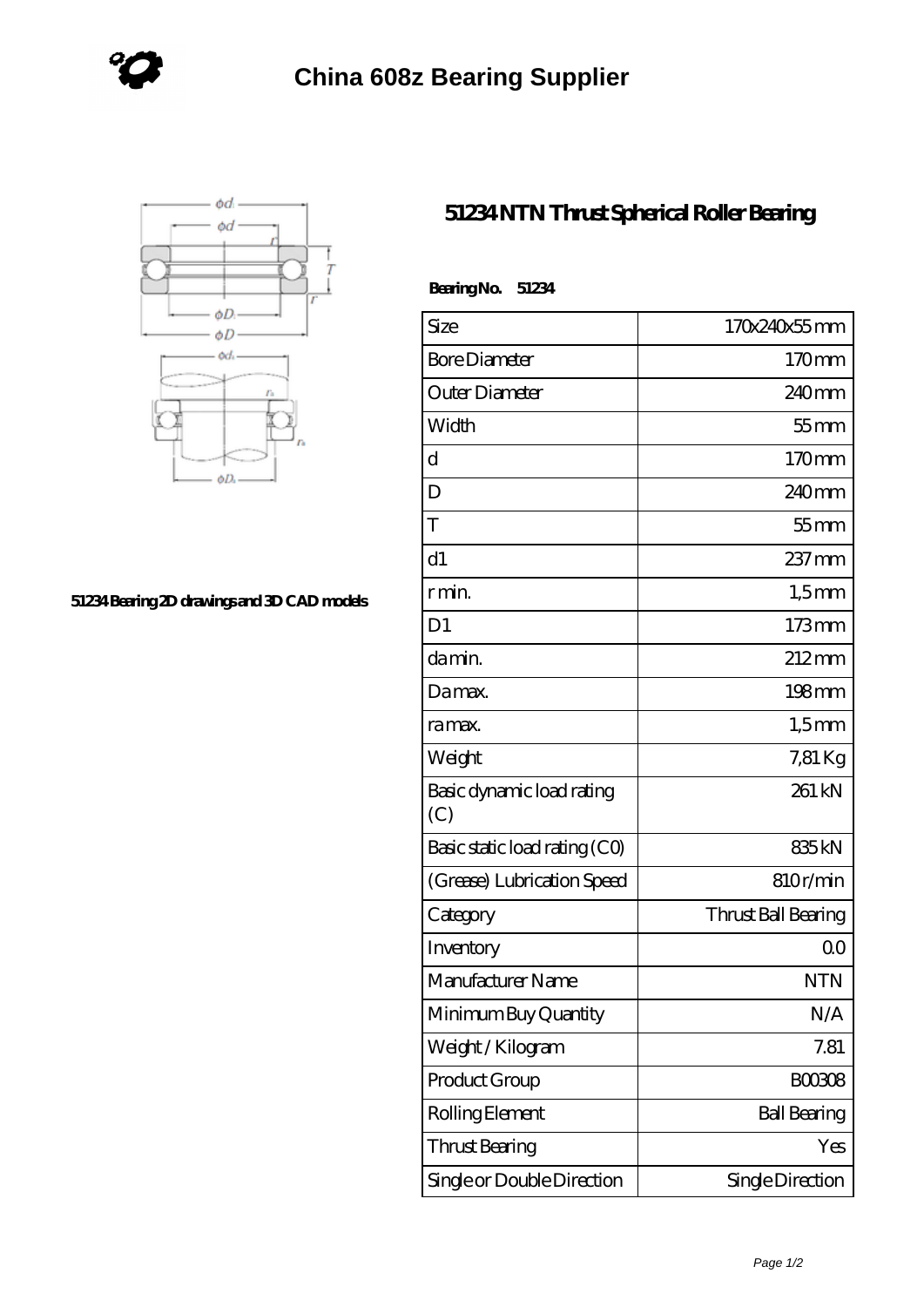



## **[51234 Bearing 2D drawings and 3D CAD models](https://www.holyland-wholesale.com/pic-1113995.html)**

## **[51234 NTN Thrust Spherical Roller Bearing](https://www.holyland-wholesale.com/tapered-roller-bearing/51234.html)**

| BearingNo.<br>51234              |                     |
|----------------------------------|---------------------|
| Size                             | 170x240x55mm        |
| <b>Bore Diameter</b>             | 170mm               |
| Outer Diameter                   | $240$ mm            |
| Width                            | $55$ mm             |
| d                                | 170mm               |
| D                                | 240 <sub>mm</sub>   |
| T                                | $55$ mm             |
| d1                               | $237$ mm            |
| r min.                           | $1,5$ mm            |
| D <sub>1</sub>                   | $173$ mm            |
| da min.                          | $212 \text{mm}$     |
| Damax.                           | $198 \,\mathrm{mm}$ |
| ra max.                          | $1,5$ mm            |
| Weight                           | 7,81 Kg             |
| Basic dynamic load rating<br>(C) | 261 kN              |
| Basic static load rating (CO)    | 835 <sub>kN</sub>   |
| (Grease) Lubrication Speed       | 810r/min            |
| Category                         | Thrust Ball Bearing |
| Inventory                        | 0 <sup>0</sup>      |
| Manufacturer Name                | <b>NTN</b>          |
| Minimum Buy Quantity             | N/A                 |
| Weight/Kilogram                  | 7.81                |
| Product Group                    | <b>BOO3O8</b>       |
| Rolling Element                  | <b>Ball Bearing</b> |
| <b>Thrust Bearing</b>            | Yes                 |
| Single or Double Direction       | Single Direction    |